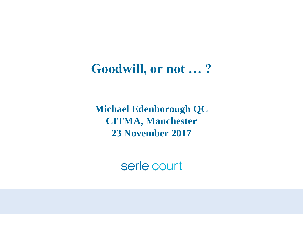#### **Goodwill, or not … ?**

**Michael Edenborough QC CITMA, Manchester 23 November 2017**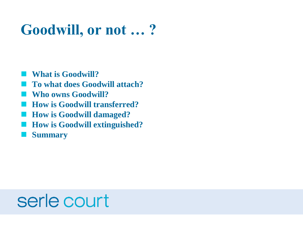### **Goodwill, or not … ?**

**What is Goodwill?**

- **To what does Goodwill attach?**
- **Who owns Goodwill?**
- **How is Goodwill transferred?**
- **How is Goodwill damaged?**
- **How is Goodwill extinguished?**
- **Summary**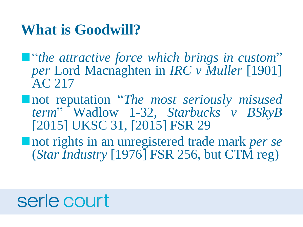#### **What is Goodwill?**

"*the attractive force which brings in custom*" *per* Lord Macnaghten in *IRC v Muller* [1901] AC 217

- not reputation "*The most seriously misused term*" Wadlow 1-32, *Starbucks v BSkyB* [2015] UKSC 31, [2015] FSR 29
- not rights in an unregistered trade mark *per se* (*Star Industry* [1976] FSR 256, but CTM reg)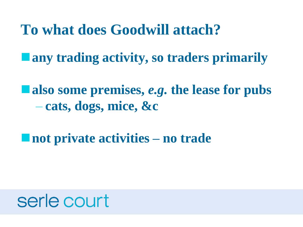**To what does Goodwill attach?**

**any trading activity, so traders primarily**

**also some premises,** *e.g.* **the lease for pubs** – **cats, dogs, mice, &c**

**not private activities – no trade**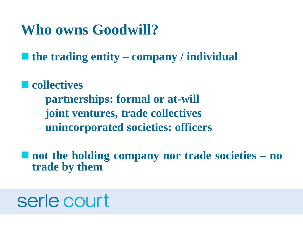### **Who owns Goodwill?**

**the trading entity – company / individual**

#### $\blacksquare$  collectives

- **partnerships: formal or at-will**
- **joint ventures, trade collectives**
- **unincorporated societies: officers**

 **not the holding company nor trade societies – no trade by them**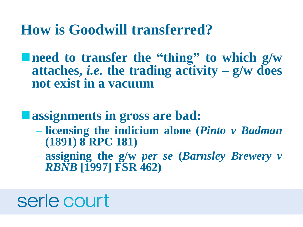#### **How is Goodwill transferred?**

**need to transfer the "thing" to which g/w attaches,** *i.e.* **the trading activity – g/w does not exist in a vacuum**

#### **assignments in gross are bad:**

- **licensing the indicium alone (***Pinto v Badman* **(1891) 8 RPC 181)**
- **assigning the g/w** *per se* **(***Barnsley Brewery v RBNB* **[1997] FSR 462)**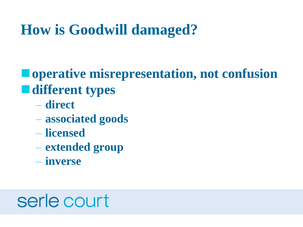### **How is Goodwill damaged?**

#### **operative misrepresentation, not confusion different types**

- **direct**
- **associated goods**
- **licensed**
- **extended group**
- **inverse**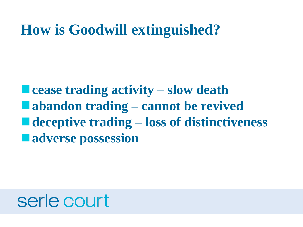#### **How is Goodwill extinguished?**

**cease trading activity – slow death abandon trading – cannot be revived deceptive trading – loss of distinctiveness adverse possession**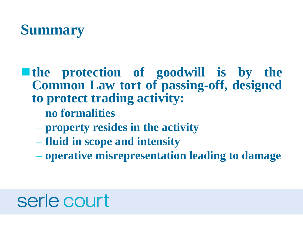

#### **the protection of goodwill is by the Common Law tort of passing-off, designed to protect trading activity:**

- **no formalities**
- **property resides in the activity**
- **fluid in scope and intensity**
- **operative misrepresentation leading to damage**